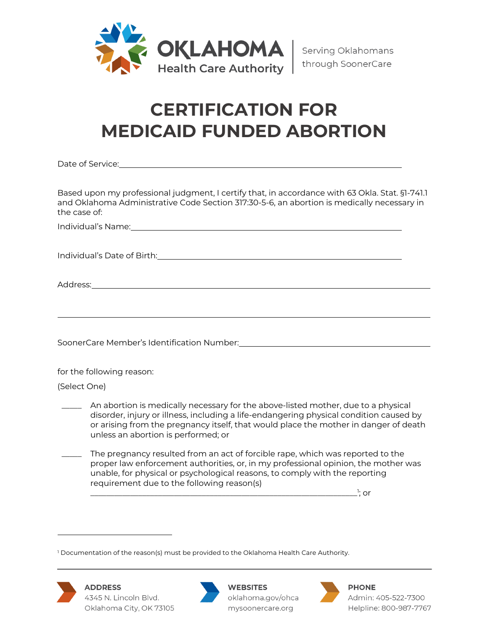

## **CERTIFICATION FOR MEDICAID FUNDED ABORTION**

Date of Service:

Based upon my professional judgment, I certify that, in accordance with 63 Okla. Stat. §1-741.1 and Oklahoma Administrative Code Section 317:30-5-6, an abortion is medically necessary in the case of:

Individual's Name:

Individual's Date of Birth:

Address:

SoonerCare Member's Identification Number: \[\stangularconduction neuronstandance materials are not approach to the Mondance materials of the Mondance materials are not approach to the Mondance materials are not approach t

for the following reason:

(Select One)

An abortion is medically necessary for the above-listed mother, due to a physical disorder, injury or illness, including a life-endangering physical condition caused by or arising from the pregnancy itself, that would place the mother in danger of death unless an abortion is performed; or

The pregnancy resulted from an act of forcible rape, which was reported to the proper law enforcement authorities, or, in my professional opinion, the mother was unable, for physical or psychological reasons, to comply with the reporting requirement due to the following reason(s)

\_\_\_\_\_\_\_\_\_\_\_\_\_\_\_\_\_\_\_\_\_\_\_\_\_\_\_\_\_\_\_\_\_\_\_\_\_\_\_\_\_\_\_\_\_\_\_\_\_\_\_\_\_\_\_\_\_\_\_\_\_\_\_\_\_\_\_1  $\cdot$ : or

<sup>&</sup>lt;sup>1</sup> Documentation of the reason(s) must be provided to the Oklahoma Health Care Authority.





**WEBSITES** oklahoma.gov/ohca mysoonercare.org



**PHONE** Admin: 405-522-7300 Helpline: 800-987-7767